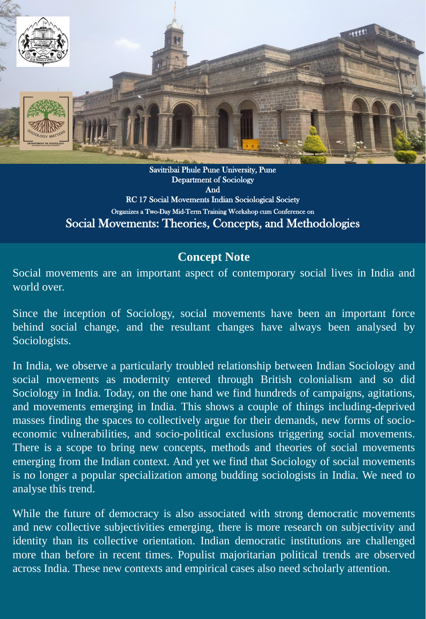

Savitribai Phule Pune University, Pune Department of Sociology And RC 17 Social Movements Indian Sociological Society Organizes a Two-Day Mid-Term Training Workshop cum Conference on Social Movements: Theories, Concepts, and Methodologies

Since the inception of Sociology, social movements have been an important force behind social change, and the resultant changes have always been analysed by Sociologists.

## **Concept Note**

Social movements are an important aspect of contemporary social lives in India and world over.

In India, we observe a particularly troubled relationship between Indian Sociology and social movements as modernity entered through British colonialism and so did Sociology in India. Today, on the one hand we find hundreds of campaigns, agitations, and movements emerging in India. This shows a couple of things including-deprived masses finding the spaces to collectively argue for their demands, new forms of socioeconomic vulnerabilities, and socio-political exclusions triggering social movements. There is a scope to bring new concepts, methods and theories of social movements emerging from the Indian context. And yet we find that Sociology of social movements

While the future of democracy is also associated with strong democratic movements and new collective subjectivities emerging, there is more research on subjectivity and identity than its collective orientation. Indian democratic institutions are challenged more than before in recent times. Populist majoritarian political trends are observed across India. These new contexts and empirical cases also need scholarly attention.

is no longer a popular specialization among budding sociologists in India. We need to analyse this trend.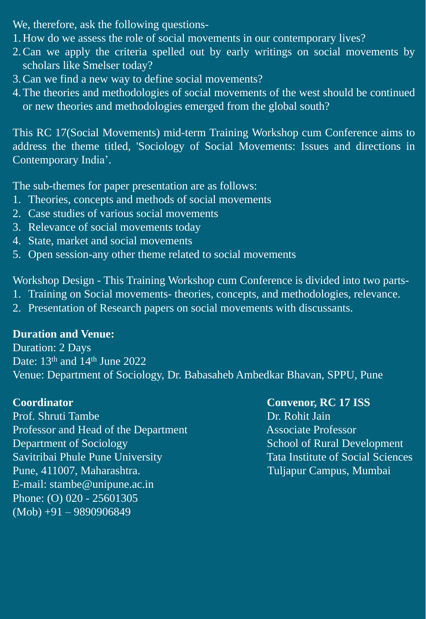We, therefore, ask the following questions-1.How do we assess the role of social movements in our contemporary lives? 2.Can we apply the criteria spelled out by early writings on social movements by scholars like Smelser today? 3.Can we find a new way to define social movements? 4.The theories and methodologies of social movements of the west should be continued or new theories and methodologies emerged from the global south?

This RC 17(Social Movements) mid-term Training Workshop cum Conference aims to address the theme titled, 'Sociology of Social Movements: Issues and directions in

# Contemporary India'.

**Coordinator Convenor, RC 17 ISS**  Prof. Shruti Tambe Professor and Head of the Department Associate Professor Department of Sociology School of Rural Development Savitribai Phule Pune University Tata Institute of Social Sciences

The sub-themes for paper presentation are as follows: 1. Theories, concepts and methods of social movements 2. Case studies of various social movements 3. Relevance of social movements today 4. State, market and social movements

5. Open session-any other theme related to social movements

Workshop Design - This Training Workshop cum Conference is divided into two parts-1. Training on Social movements- theories, concepts, and methodologies, relevance. 2. Presentation of Research papers on social movements with discussants.

**Duration and Venue:** Duration: 2 Days Date: 13<sup>th</sup> and 14<sup>th</sup> June 2022 Venue: Department of Sociology, Dr. Babasaheb Ambedkar Bhavan, SPPU, Pune

Pune, 411007, Maharashtra. Tuljapur Campus, Mumbai E-mail: stambe@unipune.ac.in Phone: (O) 020 - 25601305 (Mob) +91 – 9890906849